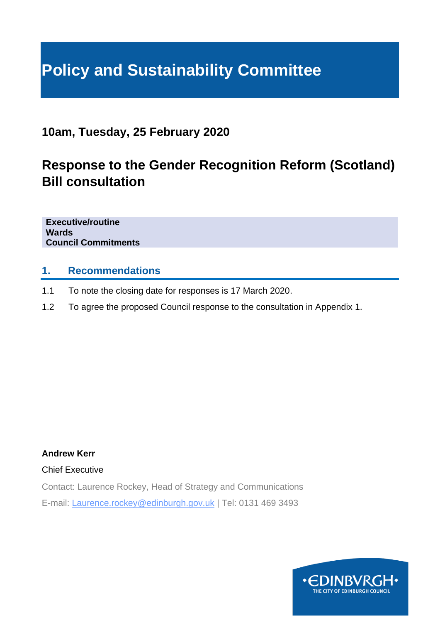# **Policy and Sustainability Committee**

**10am, Tuesday, 25 February 2020**

### **Response to the Gender Recognition Reform (Scotland) Bill consultation**

**Executive/routine Wards Council Commitments**

#### **1. Recommendations**

- 1.1 To note the closing date for responses is 17 March 2020.
- 1.2 To agree the proposed Council response to the consultation in Appendix 1.

**Andrew Kerr**

Chief Executive

Contact: Laurence Rockey, Head of Strategy and Communications E-mail: Laurence.rockey@edinburgh.gov.uk | Tel: 0131 469 3493

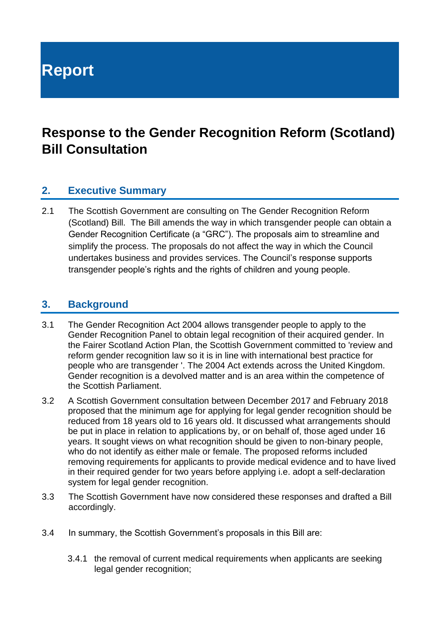**Report**

### **Response to the Gender Recognition Reform (Scotland) Bill Consultation**

#### **2. Executive Summary**

2.1 The Scottish Government are consulting on The Gender Recognition Reform (Scotland) Bill. The Bill amends the way in which transgender people can obtain a Gender Recognition Certificate (a "GRC"). The proposals aim to streamline and simplify the process. The proposals do not affect the way in which the Council undertakes business and provides services. The Council's response supports transgender people's rights and the rights of children and young people.

#### **3. Background**

- 3.1 The Gender Recognition Act 2004 allows transgender people to apply to the Gender Recognition Panel to obtain legal recognition of their acquired gender. In the Fairer Scotland Action Plan, the Scottish Government committed to 'review and reform gender recognition law so it is in line with international best practice for people who are transgender '. The 2004 Act extends across the United Kingdom. Gender recognition is a devolved matter and is an area within the competence of the Scottish Parliament.
- 3.2 A Scottish Government consultation between December 2017 and February 2018 proposed that the minimum age for applying for legal gender recognition should be reduced from 18 years old to 16 years old. It discussed what arrangements should be put in place in relation to applications by, or on behalf of, those aged under 16 years. It sought views on what recognition should be given to non-binary people, who do not identify as either male or female. The proposed reforms included removing requirements for applicants to provide medical evidence and to have lived in their required gender for two years before applying i.e. adopt a self-declaration system for legal gender recognition.
- 3.3 The Scottish Government have now considered these responses and drafted a Bill accordingly.
- 3.4 In summary, the Scottish Government's proposals in this Bill are:
	- 3.4.1 the removal of current medical requirements when applicants are seeking legal gender recognition;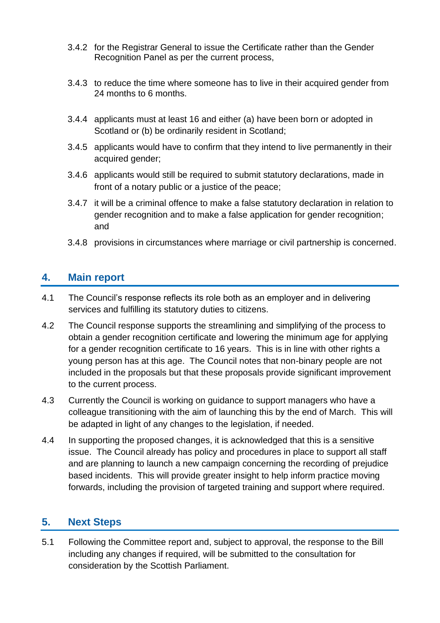- 3.4.2 for the Registrar General to issue the Certificate rather than the Gender Recognition Panel as per the current process,
- 3.4.3 to reduce the time where someone has to live in their acquired gender from 24 months to 6 months.
- 3.4.4 applicants must at least 16 and either (a) have been born or adopted in Scotland or (b) be ordinarily resident in Scotland;
- 3.4.5 applicants would have to confirm that they intend to live permanently in their acquired gender;
- 3.4.6 applicants would still be required to submit statutory declarations, made in front of a notary public or a justice of the peace;
- 3.4.7 it will be a criminal offence to make a false statutory declaration in relation to gender recognition and to make a false application for gender recognition; and
- 3.4.8 provisions in circumstances where marriage or civil partnership is concerned.

#### **4. Main report**

- 4.1 The Council's response reflects its role both as an employer and in delivering services and fulfilling its statutory duties to citizens.
- 4.2 The Council response supports the streamlining and simplifying of the process to obtain a gender recognition certificate and lowering the minimum age for applying for a gender recognition certificate to 16 years. This is in line with other rights a young person has at this age. The Council notes that non-binary people are not included in the proposals but that these proposals provide significant improvement to the current process.
- 4.3 Currently the Council is working on guidance to support managers who have a colleague transitioning with the aim of launching this by the end of March. This will be adapted in light of any changes to the legislation, if needed.
- 4.4 In supporting the proposed changes, it is acknowledged that this is a sensitive issue. The Council already has policy and procedures in place to support all staff and are planning to launch a new campaign concerning the recording of prejudice based incidents. This will provide greater insight to help inform practice moving forwards, including the provision of targeted training and support where required.

#### **5. Next Steps**

5.1 Following the Committee report and, subject to approval, the response to the Bill including any changes if required, will be submitted to the consultation for consideration by the Scottish Parliament.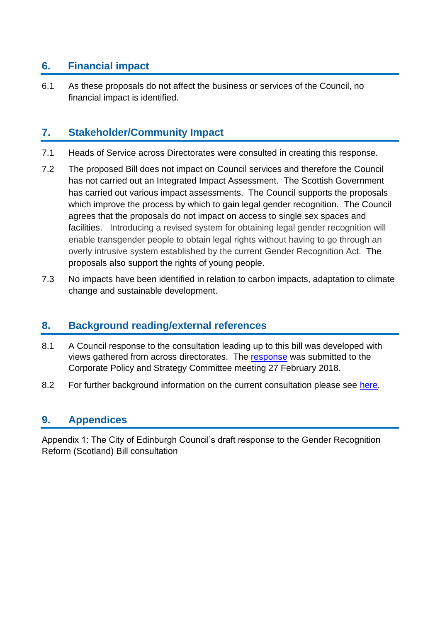#### **6. Financial impact**

6.1 As these proposals do not affect the business or services of the Council, no financial impact is identified.

#### **7. Stakeholder/Community Impact**

- 7.1 Heads of Service across Directorates were consulted in creating this response.
- 7.2 The proposed Bill does not impact on Council services and therefore the Council has not carried out an Integrated Impact Assessment. The Scottish Government has carried out various impact assessments. The Council supports the proposals which improve the process by which to gain legal gender recognition. The Council agrees that the proposals do not impact on access to single sex spaces and facilities. Introducing a revised system for obtaining legal gender recognition will enable transgender people to obtain legal rights without having to go through an overly intrusive system established by the current Gender Recognition Act. The proposals also support the rights of young people.
- 7.3 No impacts have been identified in relation to carbon impacts, adaptation to climate change and sustainable development.

#### **8. Background reading/external references**

- 8.1 A Council response to the consultation leading up to this bill was developed with views gathered from across directorates. The [response](https://democracy.edinburgh.gov.uk/Data/Corporate%20Policy%20and%20Strategy%20Committee/20180227/Agenda/$item_86_-_scottish_government_consultation_-_review_of_gender_recognition_act_2014.xls.pdf) was submitted to the Corporate Policy and Strategy Committee meeting 27 February 2018.
- 8.2 For further background information on the current consultation please see [here.](https://consult.gov.scot/family-law/gender-recognition-reform-scotland-bill/)

#### **9. Appendices**

Appendix 1: The City of Edinburgh Council's draft response to the Gender Recognition Reform (Scotland) Bill consultation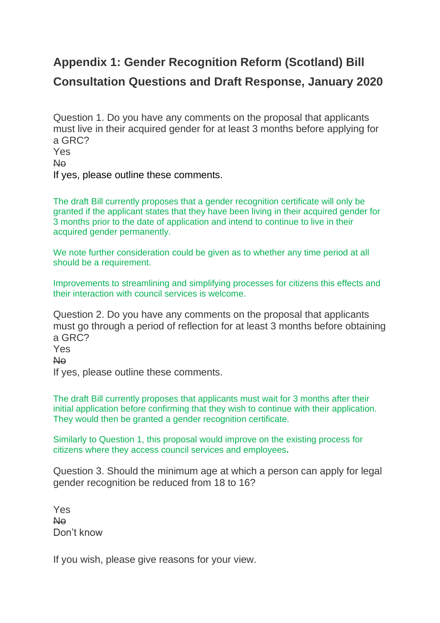## **Appendix 1: Gender Recognition Reform (Scotland) Bill Consultation Questions and Draft Response, January 2020**

Question 1. Do you have any comments on the proposal that applicants must live in their acquired gender for at least 3 months before applying for a GRC? Yes No

If yes, please outline these comments.

The draft Bill currently proposes that a gender recognition certificate will only be granted if the applicant states that they have been living in their acquired gender for 3 months prior to the date of application and intend to continue to live in their acquired gender permanently.

We note further consideration could be given as to whether any time period at all should be a requirement.

Improvements to streamlining and simplifying processes for citizens this effects and their interaction with council services is welcome.

Question 2. Do you have any comments on the proposal that applicants must go through a period of reflection for at least 3 months before obtaining a GRC? Yes No

If yes, please outline these comments.

The draft Bill currently proposes that applicants must wait for 3 months after their initial application before confirming that they wish to continue with their application. They would then be granted a gender recognition certificate.

Similarly to Question 1, this proposal would improve on the existing process for citizens where they access council services and employees**.**

Question 3. Should the minimum age at which a person can apply for legal gender recognition be reduced from 18 to 16?

Yes No Don't know

If you wish, please give reasons for your view.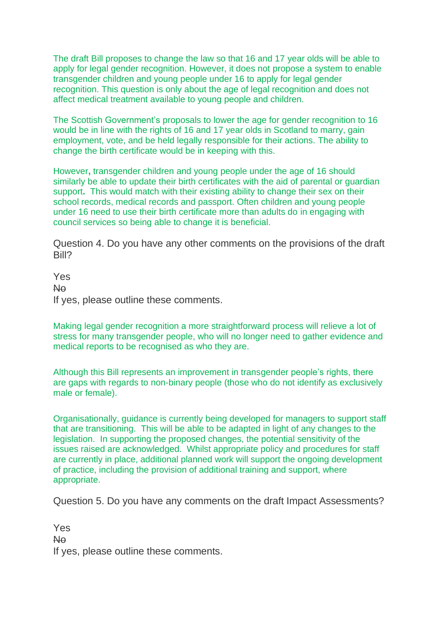The draft Bill proposes to change the law so that 16 and 17 year olds will be able to apply for legal gender recognition. However, it does not propose a system to enable transgender children and young people under 16 to apply for legal gender recognition. This question is only about the age of legal recognition and does not affect medical treatment available to young people and children.

The Scottish Government's proposals to lower the age for gender recognition to 16 would be in line with the rights of 16 and 17 year olds in Scotland to marry, gain employment, vote, and be held legally responsible for their actions. The ability to change the birth certificate would be in keeping with this.

However**,** transgender children and young people under the age of 16 should similarly be able to update their birth certificates with the aid of parental or guardian support**.** This would match with their existing ability to change their sex on their school records, medical records and passport. Often children and young people under 16 need to use their birth certificate more than adults do in engaging with council services so being able to change it is beneficial.

Question 4. Do you have any other comments on the provisions of the draft Bill?

Yes No If yes, please outline these comments.

Making legal gender recognition a more straightforward process will relieve a lot of stress for many transgender people, who will no longer need to gather evidence and medical reports to be recognised as who they are.

Although this Bill represents an improvement in transgender people's rights, there are gaps with regards to non-binary people (those who do not identify as exclusively male or female).

Organisationally, guidance is currently being developed for managers to support staff that are transitioning. This will be able to be adapted in light of any changes to the legislation. In supporting the proposed changes, the potential sensitivity of the issues raised are acknowledged. Whilst appropriate policy and procedures for staff are currently in place, additional planned work will support the ongoing development of practice, including the provision of additional training and support, where appropriate.

Question 5. Do you have any comments on the draft Impact Assessments?

Yes No If yes, please outline these comments.